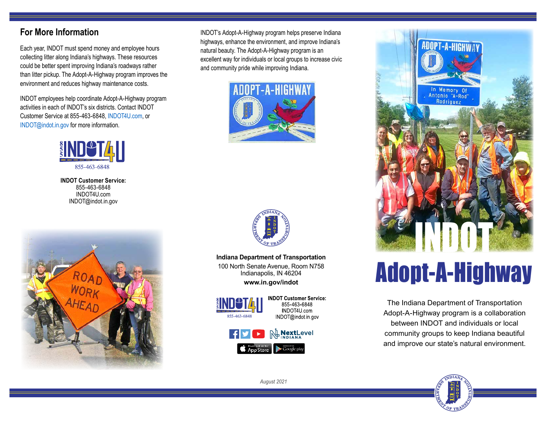## **For More Information**

Each year, INDOT must spend money and employee hours collecting litter along Indiana's highways. These resources could be better spent improving Indiana's roadways rather than litter pickup. The Adopt-A-Highway program improves the environment and reduces highway maintenance costs.

INDOT employees help coordinate Adopt-A-Highway program activities in each of INDOT's six districts. Contact INDOT Customer Service at 855-463-6848, [INDOT4U.com](https://indottscc.service-now.com/csm), or INDOT@indot.in.gov for more information.



**INDOT Customer Service:** 855-463-6848 INDOT4U.com INDOT@indot.in.gov



INDOT's Adopt-A-Highway program helps preserve Indiana highways, enhance the environment, and improve Indiana's natural beauty. The Adopt-A-Highway program is an excellent way for individuals or local groups to increase civic and community pride while improving Indiana.





**Indiana Department of Transportation** 100 North Senate Avenue, Room N758

Indianapolis, IN 46204 **www.in.gov/indot**



**INDOT Customer Service:** 855 463 6848 INDOT4U.com INDOT@indot.in.gov





# Adopt-A-Highway

The Indiana Department of Transportation Adopt-A-Highway program is a collaboration between INDOT and individuals or local community groups to keep Indiana beautiful and improve our state's natural environment.



*August 2021*